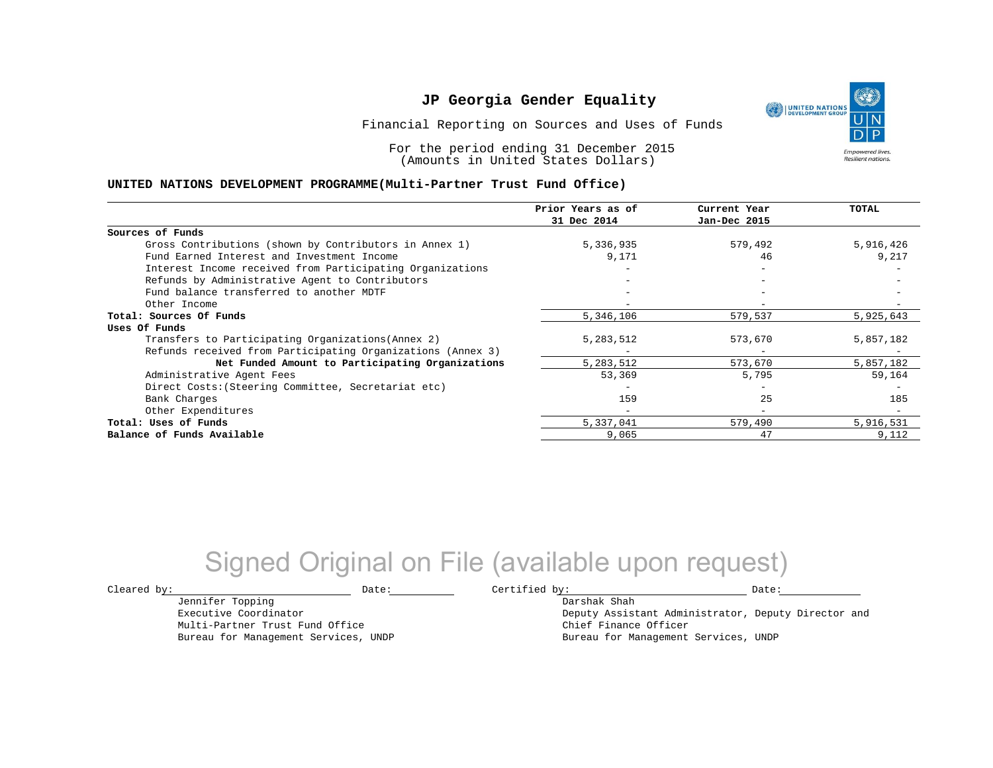Financial Reporting on Sources and Uses of Funds

For the period ending 31 December 2015 (Amounts in United States Dollars)

### **UNITED NATIONS DEVELOPMENT PROGRAMME(Multi-Partner Trust Fund Office)**

|                                                             | Prior Years as of<br>31 Dec 2014 | Current Year<br>Jan-Dec 2015 | TOTAL     |
|-------------------------------------------------------------|----------------------------------|------------------------------|-----------|
|                                                             |                                  |                              |           |
| Sources of Funds                                            |                                  |                              |           |
| Gross Contributions (shown by Contributors in Annex 1)      | 5,336,935                        | 579,492                      | 5,916,426 |
| Fund Earned Interest and Investment Income                  | 9,171                            | 46                           | 9,217     |
| Interest Income received from Participating Organizations   |                                  | $-$                          |           |
| Refunds by Administrative Agent to Contributors             |                                  |                              |           |
| Fund balance transferred to another MDTF                    |                                  |                              |           |
| Other Income                                                |                                  |                              |           |
| Total: Sources Of Funds                                     | 5,346,106                        | 579,537                      | 5,925,643 |
| Uses Of Funds                                               |                                  |                              |           |
| Transfers to Participating Organizations (Annex 2)          | 5,283,512                        | 573,670                      | 5,857,182 |
| Refunds received from Participating Organizations (Annex 3) |                                  | $\overline{\phantom{m}}$     |           |
| Net Funded Amount to Participating Organizations            | 5,283,512                        | 573,670                      | 5,857,182 |
| Administrative Agent Fees                                   | 53,369                           | 5,795                        | 59,164    |
| Direct Costs: (Steering Committee, Secretariat etc)         |                                  |                              |           |
| Bank Charges                                                | 159                              | 25                           | 185       |
| Other Expenditures                                          |                                  | $\equiv$                     |           |
| Total: Uses of Funds                                        | 5,337,041                        | 579,490                      | 5,916,531 |
| Balance of Funds Available                                  | 9,065                            | 47                           | 9,112     |

# Signed Original on File (available upon request)

Jennifer Topping Executive Coordinator Multi-Partner Trust Fund Office Bureau for Management Services, UNDP

 $\texttt{Cleared by:}\footnotesize \begin{minipage}{0.9\linewidth} \texttt{Date:}\footnotesize \begin{minipage}{0.9\linewidth} \texttt{Date:}\footnotesize \begin{minipage}{0.9\linewidth} \end{minipage} \end{minipage}$ Darshak Shah

Deputy Assistant Administrator, Deputy Director and Chief Finance Officer Bureau for Management Services, UNDP

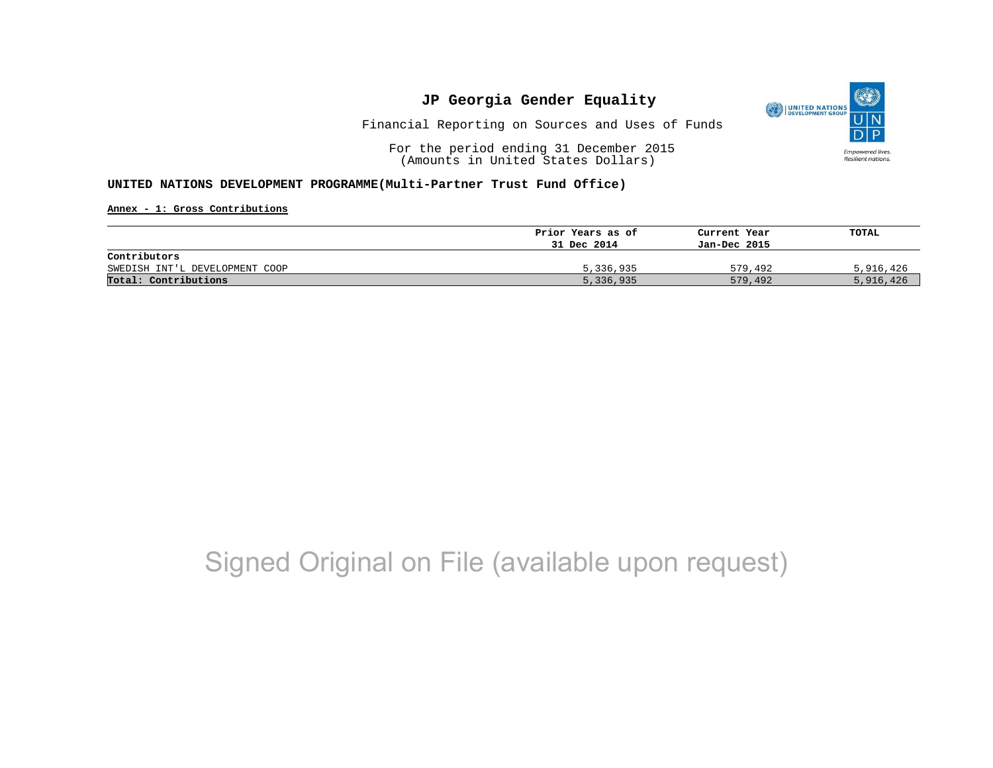

Financial Reporting on Sources and Uses of Funds

For the period ending 31 December 2015 (Amounts in United States Dollars)

### **UNITED NATIONS DEVELOPMENT PROGRAMME(Multi-Partner Trust Fund Office)**

**Annex - 1: Gross Contributions**

|                                | Prior Years as of | Current Year | TOTAL     |
|--------------------------------|-------------------|--------------|-----------|
|                                | 31 Dec 2014       | Jan-Dec 2015 |           |
| Contributors                   |                   |              |           |
| SWEDISH INT'L DEVELOPMENT COOP | 5,336,935         | 579,492      | 5,916,426 |
| Total: Contributions           | 5,336,935         | 579,492      | 5,916,426 |

# Signed Original on File (available upon request)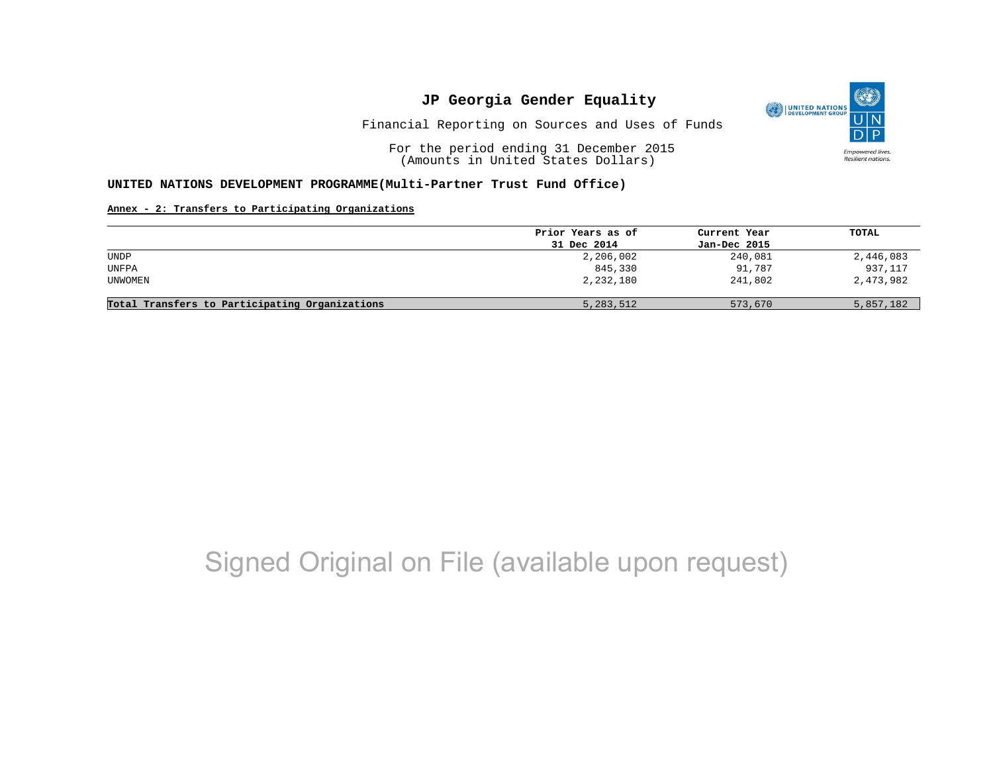

Financial Reporting on Sources and Uses of Funds

For the period ending 31 December 2015 (Amounts in United States Dollars)

### **UNITED NATIONS DEVELOPMENT PROGRAMME(Multi-Partner Trust Fund Office)**

### **Annex - 2: Transfers to Participating Organizations**

|                                                | Prior Years as of | Current Year | TOTAL     |
|------------------------------------------------|-------------------|--------------|-----------|
|                                                | 31 Dec 2014       | Jan-Dec 2015 |           |
| UNDP                                           | 2,206,002         | 240,081      | 2,446,083 |
| <b>UNFPA</b>                                   | 845,330           | 91,787       | 937,117   |
| UNWOMEN                                        | 2,232,180         | 241,802      | 2,473,982 |
| Total Transfers to Participating Organizations | 5,283,512         | 573,670      | 5,857,182 |

# Signed Original on File (available upon request)